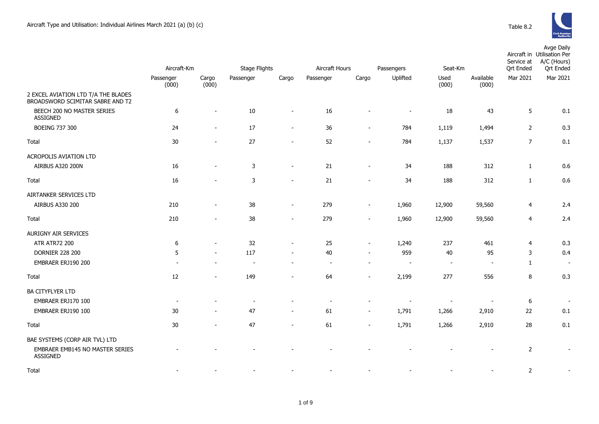

|                                                                         |                    | <b>Stage Flights</b><br>Aircraft-Km |                |                          | Aircraft Hours |                          | Passengers     | Seat-Km        |                          | Avge Daily<br>Aircraft in Utilisation Per<br>A/C (Hours)<br>Service at<br><b>Qrt Ended</b><br><b>Qrt Ended</b> |                          |  |
|-------------------------------------------------------------------------|--------------------|-------------------------------------|----------------|--------------------------|----------------|--------------------------|----------------|----------------|--------------------------|----------------------------------------------------------------------------------------------------------------|--------------------------|--|
|                                                                         |                    |                                     |                |                          |                |                          |                |                |                          |                                                                                                                |                          |  |
|                                                                         | Passenger<br>(000) | Cargo<br>(000)                      | Passenger      | Cargo                    | Passenger      | Cargo                    | Uplifted       | Used<br>(000)  | Available<br>(000)       | Mar 2021                                                                                                       | Mar 2021                 |  |
| 2 EXCEL AVIATION LTD T/A THE BLADES<br>BROADSWORD SCIMITAR SABRE AND T2 |                    |                                     |                |                          |                |                          |                |                |                          |                                                                                                                |                          |  |
| BEECH 200 NO MASTER SERIES<br>ASSIGNED                                  | 6                  | $\blacksquare$                      | $10\,$         | $\sim$                   | 16             |                          |                | 18             | 43                       | 5                                                                                                              | 0.1                      |  |
| <b>BOEING 737 300</b>                                                   | 24                 | $\overline{a}$                      | $17$           | $\sim$                   | 36             | $\sim$                   | 784            | 1,119          | 1,494                    | $\overline{2}$                                                                                                 | 0.3                      |  |
| Total                                                                   | 30                 | $\overline{\phantom{a}}$            | 27             | $\sim$                   | 52             | $\blacksquare$           | 784            | 1,137          | 1,537                    | $\overline{7}$                                                                                                 | 0.1                      |  |
| ACROPOLIS AVIATION LTD                                                  |                    |                                     |                |                          |                |                          |                |                |                          |                                                                                                                |                          |  |
| <b>AIRBUS A320 200N</b>                                                 | 16                 | $\overline{\phantom{a}}$            | 3              | $\sim$                   | 21             | $\blacksquare$           | 34             | 188            | 312                      | $\mathbf{1}$                                                                                                   | 0.6                      |  |
| Total                                                                   | 16                 |                                     | 3              | $\sim$                   | 21             | $\sim$                   | 34             | 188            | 312                      | $\mathbf{1}$                                                                                                   | 0.6                      |  |
| AIRTANKER SERVICES LTD                                                  |                    |                                     |                |                          |                |                          |                |                |                          |                                                                                                                |                          |  |
| AIRBUS A330 200                                                         | 210                | $\overline{\phantom{a}}$            | 38             | $\overline{\phantom{a}}$ | 279            | $\overline{\phantom{a}}$ | 1,960          | 12,900         | 59,560                   | $\overline{4}$                                                                                                 | 2.4                      |  |
| Total                                                                   | 210                | $\overline{\phantom{a}}$            | 38             | $\blacksquare$           | 279            | $\blacksquare$           | 1,960          | 12,900         | 59,560                   | $\overline{4}$                                                                                                 | 2.4                      |  |
| AURIGNY AIR SERVICES                                                    |                    |                                     |                |                          |                |                          |                |                |                          |                                                                                                                |                          |  |
| <b>ATR ATR72 200</b>                                                    | 6                  | $\overline{\phantom{a}}$            | 32             | $\blacksquare$           | 25             | $\overline{\phantom{a}}$ | 1,240          | 237            | 461                      | 4                                                                                                              | 0.3                      |  |
| <b>DORNIER 228 200</b>                                                  | 5                  | $\sim$                              | 117            | $\sim$                   | 40             | $\sim$                   | 959            | 40             | 95                       | 3                                                                                                              | 0.4                      |  |
| EMBRAER ERJ190 200                                                      |                    | $\blacksquare$                      | $\blacksquare$ |                          |                |                          | $\overline{a}$ | $\blacksquare$ | $\overline{\phantom{a}}$ | $\mathbf{1}$                                                                                                   | $\sim$                   |  |
| Total                                                                   | 12                 | $\overline{\phantom{a}}$            | 149            | $\overline{\phantom{a}}$ | 64             |                          | 2,199          | 277            | 556                      | $\bf 8$                                                                                                        | 0.3                      |  |
| <b>BA CITYFLYER LTD</b>                                                 |                    |                                     |                |                          |                |                          |                |                |                          |                                                                                                                |                          |  |
| EMBRAER ERJ170 100                                                      |                    |                                     |                |                          |                |                          |                |                |                          | $\boldsymbol{6}$                                                                                               | $\overline{\phantom{a}}$ |  |
| EMBRAER ERJ190 100                                                      | 30                 | $\overline{\phantom{a}}$            | 47             | $\blacksquare$           | 61             | $\overline{\phantom{a}}$ | 1,791          | 1,266          | 2,910                    | 22                                                                                                             | 0.1                      |  |
| Total                                                                   | 30                 |                                     | 47             | ٠                        | 61             | $\sim$                   | 1,791          | 1,266          | 2,910                    | 28                                                                                                             | 0.1                      |  |
| BAE SYSTEMS (CORP AIR TVL) LTD                                          |                    |                                     |                |                          |                |                          |                |                |                          |                                                                                                                |                          |  |
| EMBRAER EMB145 NO MASTER SERIES<br>ASSIGNED                             |                    |                                     |                |                          |                |                          |                |                |                          | $\overline{2}$                                                                                                 | $\blacksquare$           |  |
| Total                                                                   |                    |                                     |                |                          |                |                          |                |                |                          | $\overline{2}$                                                                                                 |                          |  |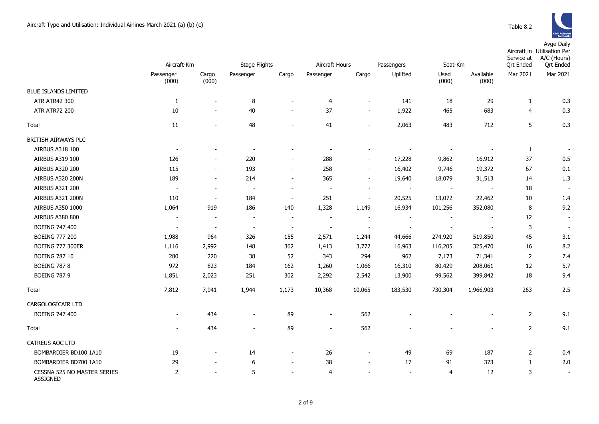|                                                | Aircraft-Km              |                          | <b>Stage Flights</b>     |                          | Aircraft Hours           |                          | Passengers | Seat-Km                  |                    | Service at<br><b>Ort Ended</b> | Aircraft in Utilisation Per<br>A/C (Hours)<br><b>Qrt Ended</b> |
|------------------------------------------------|--------------------------|--------------------------|--------------------------|--------------------------|--------------------------|--------------------------|------------|--------------------------|--------------------|--------------------------------|----------------------------------------------------------------|
|                                                | Passenger<br>(000)       | Cargo<br>(000)           | Passenger                | Cargo                    | Passenger                | Cargo                    | Uplifted   | Used<br>(000)            | Available<br>(000) | Mar 2021                       | Mar 2021                                                       |
| <b>BLUE ISLANDS LIMITED</b>                    |                          |                          |                          |                          |                          |                          |            |                          |                    |                                |                                                                |
| ATR ATR42 300                                  | $\mathbf{1}$             | $\overline{\phantom{a}}$ | 8                        | $\overline{\phantom{a}}$ | $\overline{4}$           | $\blacksquare$           | 141        | 18                       | 29                 | $\mathbf{1}$                   | 0.3                                                            |
| <b>ATR ATR72 200</b>                           | 10                       | $\overline{\phantom{a}}$ | 40                       | $\overline{\phantom{a}}$ | 37                       | $\overline{\phantom{a}}$ | 1,922      | 465                      | 683                | 4                              | 0.3                                                            |
| Total                                          | 11                       | $\overline{\phantom{a}}$ | 48                       | ۰                        | 41                       | ÷,                       | 2,063      | 483                      | 712                | 5                              | 0.3                                                            |
| BRITISH AIRWAYS PLC                            |                          |                          |                          |                          |                          |                          |            |                          |                    |                                |                                                                |
| AIRBUS A318 100                                | $\overline{\phantom{a}}$ |                          | $\overline{\phantom{a}}$ |                          |                          |                          |            |                          |                    | 1                              |                                                                |
| AIRBUS A319 100                                | 126                      |                          | 220                      | $\blacksquare$           | 288                      | $\overline{\phantom{a}}$ | 17,228     | 9,862                    | 16,912             | 37                             | 0.5                                                            |
| AIRBUS A320 200                                | 115                      | $\overline{\phantom{a}}$ | 193                      | $\overline{\phantom{a}}$ | 258                      | $\overline{\phantom{a}}$ | 16,402     | 9,746                    | 19,372             | 67                             | 0.1                                                            |
| AIRBUS A320 200N                               | 189                      | $\overline{\phantom{a}}$ | 214                      | $\overline{\phantom{a}}$ | 365                      | $\overline{a}$           | 19,640     | 18,079                   | 31,513             | 14                             | 1.3                                                            |
| AIRBUS A321 200                                |                          | $\blacksquare$           | $\overline{\phantom{a}}$ | $\overline{\phantom{a}}$ |                          | $\overline{a}$           |            |                          |                    | 18                             |                                                                |
| AIRBUS A321 200N                               | 110                      | $\overline{\phantom{a}}$ | 184                      | $\overline{\phantom{a}}$ | 251                      | $\overline{\phantom{a}}$ | 20,525     | 13,072                   | 22,462             | 10                             | 1.4                                                            |
| AIRBUS A350 1000                               | 1,064                    | 919                      | 186                      | 140                      | 1,328                    | 1,149                    | 16,934     | 101,256                  | 352,080            | 8                              | 9.2                                                            |
| AIRBUS A380 800                                | $\overline{\phantom{a}}$ | $\overline{\phantom{a}}$ | $\overline{\phantom{a}}$ | $\overline{\phantom{a}}$ | $\overline{\phantom{a}}$ | $\blacksquare$           |            | $\overline{\phantom{a}}$ |                    | 12                             | $\sim$                                                         |
| <b>BOEING 747 400</b>                          | $\blacksquare$           | $\overline{\phantom{a}}$ | $\sim$                   | $\blacksquare$           | $\overline{\phantom{a}}$ | $\blacksquare$           | $\sim$     | $\blacksquare$           | $\blacksquare$     | 3                              | $\overline{\phantom{a}}$                                       |
| <b>BOEING 777 200</b>                          | 1,988                    | 964                      | 326                      | 155                      | 2,571                    | 1,244                    | 44,666     | 274,920                  | 519,850            | 45                             | 3.1                                                            |
| <b>BOEING 777 300ER</b>                        | 1,116                    | 2,992                    | 148                      | 362                      | 1,413                    | 3,772                    | 16,963     | 116,205                  | 325,470            | 16                             | 8.2                                                            |
| <b>BOEING 787 10</b>                           | 280                      | 220                      | 38                       | 52                       | 343                      | 294                      | 962        | 7,173                    | 71,341             | 2                              | 7.4                                                            |
| <b>BOEING 787 8</b>                            | 972                      | 823                      | 184                      | 162                      | 1,260                    | 1,066                    | 16,310     | 80,429                   | 208,061            | 12                             | 5.7                                                            |
| <b>BOEING 787 9</b>                            | 1,851                    | 2,023                    | 251                      | 302                      | 2,292                    | 2,542                    | 13,900     | 99,562                   | 399,842            | 18                             | 9.4                                                            |
| Total                                          | 7,812                    | 7,941                    | 1,944                    | 1,173                    | 10,368                   | 10,065                   | 183,530    | 730,304                  | 1,966,903          | 263                            | 2.5                                                            |
| CARGOLOGICAIR LTD                              |                          |                          |                          |                          |                          |                          |            |                          |                    |                                |                                                                |
| <b>BOEING 747 400</b>                          | $\overline{\phantom{a}}$ | 434                      | $\overline{a}$           | 89                       | $\overline{\phantom{a}}$ | 562                      |            |                          |                    | 2                              | 9.1                                                            |
| Total                                          | $\overline{\phantom{a}}$ | 434                      | $\blacksquare$           | 89                       | $\blacksquare$           | 562                      |            |                          |                    | $\overline{2}$                 | 9.1                                                            |
| CATREUS AOC LTD                                |                          |                          |                          |                          |                          |                          |            |                          |                    |                                |                                                                |
| BOMBARDIER BD100 1A10                          | 19                       |                          | 14                       | $\overline{\phantom{a}}$ | 26                       | $\blacksquare$           | 49         | 69                       | 187                | $\overline{2}$                 | 0.4                                                            |
| BOMBARDIER BD700 1A10                          | 29                       |                          | 6                        | $\overline{\phantom{a}}$ | 38                       | $\overline{a}$           | 17         | 91                       | 373                | $\mathbf{1}$                   | 2.0                                                            |
| CESSNA 525 NO MASTER SERIES<br><b>ASSIGNED</b> | $\overline{2}$           |                          | 5                        | $\blacksquare$           | $\overline{4}$           |                          | $\sim$     | 4                        | 12                 | 3                              | $\sim$                                                         |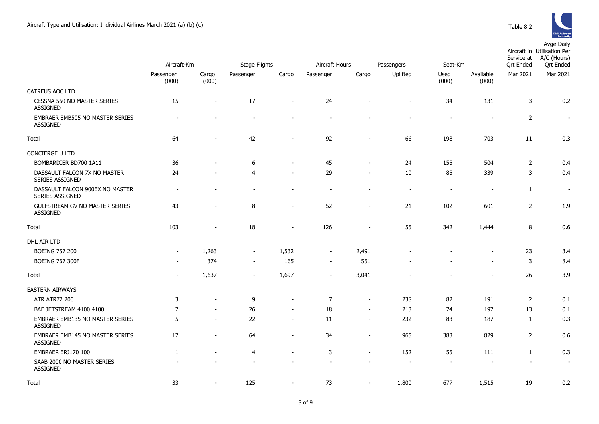

|                                                           |                    |                          | Aircraft Hours       |                          |                          |                          |                          |               |                    | Service at       | Aircraft in Utilisation Per<br>A/C (Hours) |
|-----------------------------------------------------------|--------------------|--------------------------|----------------------|--------------------------|--------------------------|--------------------------|--------------------------|---------------|--------------------|------------------|--------------------------------------------|
|                                                           | Aircraft-Km        |                          | <b>Stage Flights</b> |                          |                          |                          | Passengers               | Seat-Km       |                    | <b>Qrt Ended</b> | <b>Qrt Ended</b>                           |
|                                                           | Passenger<br>(000) | Cargo<br>(000)           | Passenger            | Cargo                    | Passenger                | Cargo                    | Uplifted                 | Used<br>(000) | Available<br>(000) | Mar 2021         | Mar 2021                                   |
| CATREUS AOC LTD                                           |                    |                          |                      |                          |                          |                          |                          |               |                    |                  |                                            |
| CESSNA 560 NO MASTER SERIES<br><b>ASSIGNED</b>            | 15                 | $\overline{\phantom{a}}$ | 17                   | $\overline{\phantom{a}}$ | 24                       |                          |                          | 34            | 131                | 3                | 0.2                                        |
| <b>EMBRAER EMB505 NO MASTER SERIES</b><br><b>ASSIGNED</b> |                    |                          | $\blacksquare$       |                          |                          |                          |                          | $\sim$        | ÷,                 | $\overline{2}$   | $\overline{\phantom{a}}$                   |
| Total                                                     | 64                 |                          | 42                   | $\overline{a}$           | 92                       | $\overline{\phantom{a}}$ | 66                       | 198           | 703                | 11               | 0.3                                        |
| <b>CONCIERGE U LTD</b>                                    |                    |                          |                      |                          |                          |                          |                          |               |                    |                  |                                            |
| BOMBARDIER BD700 1A11                                     | 36                 | L,                       | 6                    | $\overline{\phantom{a}}$ | 45                       | $\overline{a}$           | 24                       | 155           | 504                | 2                | 0.4                                        |
| DASSAULT FALCON 7X NO MASTER<br>SERIES ASSIGNED           | 24                 | ۰                        | $\overline{4}$       | $\blacksquare$           | 29                       | $\overline{\phantom{a}}$ | 10                       | 85            | 339                | $\mathbf{3}$     | 0.4                                        |
| DASSAULT FALCON 900EX NO MASTER<br>SERIES ASSIGNED        |                    |                          |                      |                          | $\overline{\phantom{a}}$ |                          | $\overline{\phantom{a}}$ | $\sim$        | $\blacksquare$     | $\mathbf{1}$     | $\blacksquare$                             |
| <b>GULFSTREAM GV NO MASTER SERIES</b><br><b>ASSIGNED</b>  | 43                 | $\blacksquare$           | 8                    | $\blacksquare$           | 52                       | $\overline{\phantom{m}}$ | 21                       | 102           | 601                | $\overline{2}$   | 1.9                                        |
| Total                                                     | 103                | $\blacksquare$           | 18                   | $\blacksquare$           | 126                      | $\blacksquare$           | 55                       | 342           | 1,444              | 8                | 0.6                                        |
| DHL AIR LTD                                               |                    |                          |                      |                          |                          |                          |                          |               |                    |                  |                                            |
| <b>BOEING 757 200</b>                                     | $\blacksquare$     | 1,263                    | $\blacksquare$       | 1,532                    | $\sim$                   | 2,491                    |                          |               | $\blacksquare$     | 23               | 3.4                                        |
| <b>BOEING 767 300F</b>                                    |                    | 374                      | $\blacksquare$       | 165                      | $\blacksquare$           | 551                      |                          |               | ÷,                 | 3                | 8.4                                        |
| Total                                                     | $\sim$             | 1,637                    | $\sim$               | 1,697                    | $\sim$                   | 3,041                    |                          |               | $\overline{a}$     | 26               | 3.9                                        |
| <b>EASTERN AIRWAYS</b>                                    |                    |                          |                      |                          |                          |                          |                          |               |                    |                  |                                            |
| <b>ATR ATR72 200</b>                                      | 3                  | $\blacksquare$           | 9                    | $\overline{\phantom{a}}$ | $\overline{7}$           | $\overline{\phantom{a}}$ | 238                      | 82            | 191                | 2                | 0.1                                        |
| BAE JETSTREAM 4100 4100                                   | $\overline{7}$     | $\blacksquare$           | 26                   | $\sim$                   | 18                       | $\blacksquare$           | 213                      | 74            | 197                | 13               | 0.1                                        |
| EMBRAER EMB135 NO MASTER SERIES<br><b>ASSIGNED</b>        | 5                  | $\overline{\phantom{a}}$ | 22                   | $\overline{\phantom{a}}$ | 11                       | $\overline{\phantom{a}}$ | 232                      | 83            | 187                | $\mathbf{1}$     | 0.3                                        |
| <b>EMBRAER EMB145 NO MASTER SERIES</b><br><b>ASSIGNED</b> | 17                 | $\overline{\phantom{a}}$ | 64                   | $\overline{\phantom{a}}$ | 34                       | $\blacksquare$           | 965                      | 383           | 829                | 2                | 0.6                                        |
| EMBRAER ERJ170 100                                        | 1                  | $\overline{\phantom{a}}$ | $\overline{4}$       | $\overline{\phantom{a}}$ | 3                        | $\blacksquare$           | 152                      | 55            | 111                | $\mathbf{1}$     | 0.3                                        |
| SAAB 2000 NO MASTER SERIES<br><b>ASSIGNED</b>             |                    |                          | ٠                    | $\sim$                   | ÷.                       | ÷                        | $\sim$                   | $\sim$        | ÷.                 | $\overline{a}$   | $\sim$                                     |
| Total                                                     | 33                 | $\overline{\phantom{a}}$ | 125                  | $\overline{\phantom{a}}$ | 73                       | $\sim$                   | 1,800                    | 677           | 1,515              | 19               | 0.2                                        |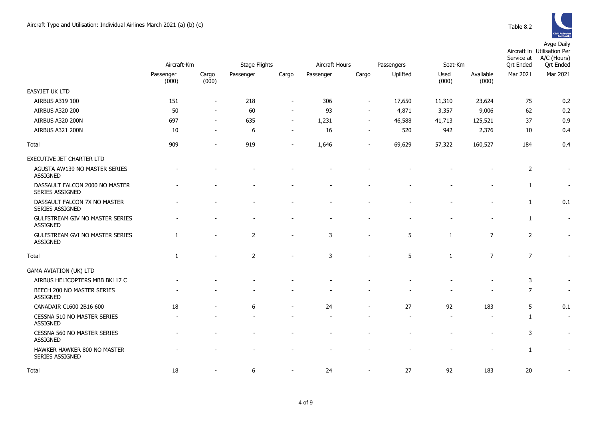|                                                    | Aircraft-Km        |                | Stage Flights  |                          | Aircraft Hours |                          | Passengers | Seat-Km       |                    | Service at<br><b>Qrt Ended</b> | Aircraft in Utilisation Per<br>A/C (Hours)<br><b>Qrt Ended</b> |
|----------------------------------------------------|--------------------|----------------|----------------|--------------------------|----------------|--------------------------|------------|---------------|--------------------|--------------------------------|----------------------------------------------------------------|
|                                                    | Passenger<br>(000) | Cargo<br>(000) | Passenger      | Cargo                    | Passenger      | Cargo                    | Uplifted   | Used<br>(000) | Available<br>(000) | Mar 2021                       | Mar 2021                                                       |
| EASYJET UK LTD                                     |                    |                |                |                          |                |                          |            |               |                    |                                |                                                                |
| AIRBUS A319 100                                    | 151                | $\blacksquare$ | 218            | $\overline{\phantom{a}}$ | 306            | $\blacksquare$           | 17,650     | 11,310        | 23,624             | 75                             | 0.2                                                            |
| <b>AIRBUS A320 200</b>                             | 50                 | $\blacksquare$ | 60             | $\overline{\phantom{a}}$ | 93             | $\overline{a}$           | 4,871      | 3,357         | 9,006              | 62                             | 0.2                                                            |
| AIRBUS A320 200N                                   | 697                |                | 635            | $\sim$                   | 1,231          | $\overline{\phantom{a}}$ | 46,588     | 41,713        | 125,521            | 37                             | 0.9                                                            |
| AIRBUS A321 200N                                   | 10                 | $\blacksquare$ | 6              | $\overline{\phantom{a}}$ | 16             |                          | 520        | 942           | 2,376              | 10                             | 0.4                                                            |
| Total                                              | 909                |                | 919            | $\overline{\phantom{a}}$ | 1,646          |                          | 69,629     | 57,322        | 160,527            | 184                            | 0.4                                                            |
| EXECUTIVE JET CHARTER LTD                          |                    |                |                |                          |                |                          |            |               |                    |                                |                                                                |
| AGUSTA AW139 NO MASTER SERIES<br><b>ASSIGNED</b>   |                    |                |                |                          |                |                          |            |               |                    | $\overline{2}$                 | $\blacksquare$                                                 |
| DASSAULT FALCON 2000 NO MASTER<br>SERIES ASSIGNED  |                    |                |                |                          |                |                          |            |               |                    | 1                              | $\overline{\phantom{a}}$                                       |
| DASSAULT FALCON 7X NO MASTER<br>SERIES ASSIGNED    |                    |                |                |                          |                |                          |            |               |                    | 1                              | 0.1                                                            |
| GULFSTREAM GIV NO MASTER SERIES<br><b>ASSIGNED</b> |                    |                |                |                          |                |                          |            |               |                    | $\mathbf{1}$                   | $\sim$                                                         |
| GULFSTREAM GVI NO MASTER SERIES<br><b>ASSIGNED</b> | $\mathbf{1}$       |                | $\overline{2}$ | $\sim$                   | 3              | $\sim$                   | 5          | 1             | $\overline{7}$     | $\overline{2}$                 | $\sim$                                                         |
| <b>Total</b>                                       | $\mathbf{1}$       |                | $\overline{2}$ |                          | 3              |                          | 5          | $\mathbf{1}$  | $\overline{7}$     | $\overline{7}$                 | $\overline{\phantom{a}}$                                       |
| <b>GAMA AVIATION (UK) LTD</b>                      |                    |                |                |                          |                |                          |            |               |                    |                                |                                                                |
| AIRBUS HELICOPTERS MBB BK117 C                     |                    |                |                |                          |                |                          |            |               |                    | 3                              | $\sim$                                                         |
| BEECH 200 NO MASTER SERIES<br><b>ASSIGNED</b>      |                    |                |                |                          |                |                          |            |               |                    | $\overline{7}$                 | $\blacksquare$                                                 |
| CANADAIR CL600 2B16 600                            | 18                 |                | 6              | $\blacksquare$           | 24             |                          | 27         | 92            | 183                | 5                              | 0.1                                                            |
| CESSNA 510 NO MASTER SERIES<br><b>ASSIGNED</b>     |                    |                |                |                          | ÷.             |                          |            |               |                    | $\mathbf{1}$                   | $\sim$                                                         |
| CESSNA 560 NO MASTER SERIES<br><b>ASSIGNED</b>     |                    |                |                |                          |                |                          |            |               |                    | 3                              | $\overline{\phantom{a}}$                                       |
| HAWKER HAWKER 800 NO MASTER<br>SERIES ASSIGNED     |                    |                |                |                          |                |                          |            |               |                    | 1                              |                                                                |
| Total                                              | 18                 |                | 6              |                          | 24             | ÷                        | 27         | 92            | 183                | 20                             |                                                                |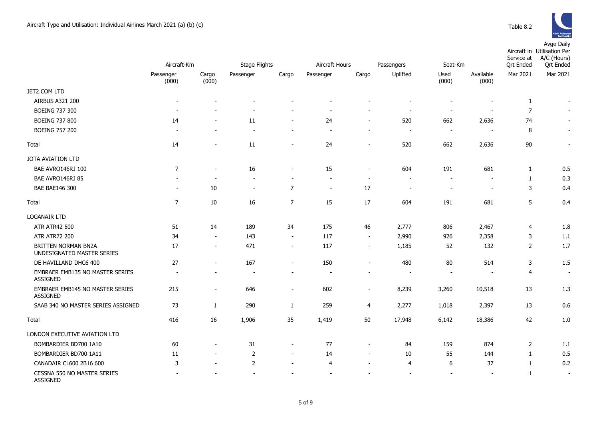|                                                          | Aircraft-Km              |                          | <b>Stage Flights</b>     |                          | Aircraft Hours           |                          | Passengers               | Seat-Km                  |                          | Service at<br><b>Qrt Ended</b> | Aircraft in Utilisation Per<br>A/C (Hours)<br><b>Qrt Ended</b> |
|----------------------------------------------------------|--------------------------|--------------------------|--------------------------|--------------------------|--------------------------|--------------------------|--------------------------|--------------------------|--------------------------|--------------------------------|----------------------------------------------------------------|
|                                                          | Passenger<br>(000)       | Cargo<br>(000)           | Passenger                | Cargo                    | Passenger                | Cargo                    | Uplifted                 | Used<br>(000)            | Available<br>(000)       | Mar 2021                       | Mar 2021                                                       |
| JET2.COM LTD                                             |                          |                          |                          |                          |                          |                          |                          |                          |                          |                                |                                                                |
| <b>AIRBUS A321 200</b>                                   | $\blacksquare$           |                          |                          |                          |                          |                          |                          | $\overline{\phantom{a}}$ |                          | 1                              | $\overline{\phantom{a}}$                                       |
| BOEING 737 300                                           |                          |                          |                          |                          |                          |                          | $\overline{\phantom{a}}$ | $\blacksquare$           |                          | $\overline{7}$                 |                                                                |
| <b>BOEING 737 800</b>                                    | 14                       |                          | 11                       | $\overline{\phantom{a}}$ | 24                       | $\overline{a}$           | 520                      | 662                      | 2,636                    | 74                             |                                                                |
| <b>BOEING 757 200</b>                                    | ٠                        |                          |                          | L,                       | $\overline{\phantom{a}}$ | $\overline{\phantom{a}}$ | $\overline{a}$           | $\overline{\phantom{a}}$ |                          | 8                              | $\overline{\phantom{a}}$                                       |
| Total                                                    | 14                       | ÷,                       | 11                       | ÷,                       | 24                       | $\blacksquare$           | 520                      | 662                      | 2,636                    | 90                             | $\sim$                                                         |
| JOTA AVIATION LTD                                        |                          |                          |                          |                          |                          |                          |                          |                          |                          |                                |                                                                |
| BAE AVRO146RJ 100                                        | 7                        | $\overline{\phantom{a}}$ | 16                       | $\blacksquare$           | 15                       | $\blacksquare$           | 604                      | 191                      | 681                      | $\mathbf{1}$                   | 0.5                                                            |
| BAE AVRO146RJ 85                                         |                          | $\blacksquare$           | $\blacksquare$           | $\blacksquare$           | $\overline{\phantom{a}}$ | $\blacksquare$           | $\overline{\phantom{a}}$ | $\overline{\phantom{a}}$ | $\overline{\phantom{a}}$ | $\mathbf{1}$                   | 0.3                                                            |
| <b>BAE BAE146 300</b>                                    |                          | 10                       | $\overline{\phantom{a}}$ | $\overline{7}$           | $\overline{\phantom{a}}$ | 17                       | $\overline{\phantom{a}}$ | $\overline{\phantom{a}}$ | $\overline{\phantom{a}}$ | 3                              | 0.4                                                            |
| Total                                                    | $\overline{7}$           | 10                       | 16                       | $\overline{7}$           | 15                       | 17                       | 604                      | 191                      | 681                      | 5                              | 0.4                                                            |
| <b>LOGANAIR LTD</b>                                      |                          |                          |                          |                          |                          |                          |                          |                          |                          |                                |                                                                |
| <b>ATR ATR42 500</b>                                     | 51                       | 14                       | 189                      | 34                       | 175                      | 46                       | 2,777                    | 806                      | 2,467                    | 4                              | 1.8                                                            |
| <b>ATR ATR72 200</b>                                     | 34                       | $\blacksquare$           | 143                      | $\sim$                   | 117                      | $\overline{\phantom{a}}$ | 2,990                    | 926                      | 2,358                    | 3                              | 1.1                                                            |
| <b>BRITTEN NORMAN BN2A</b><br>UNDESIGNATED MASTER SERIES | 17                       | $\blacksquare$           | 471                      | $\overline{\phantom{a}}$ | 117                      | $\overline{\phantom{a}}$ | 1,185                    | 52                       | 132                      | $\overline{2}$                 | 1.7                                                            |
| DE HAVILLAND DHC6 400                                    | 27                       | $\blacksquare$           | 167                      | $\overline{\phantom{a}}$ | 150                      | $\overline{a}$           | 480                      | 80                       | 514                      | 3                              | 1.5                                                            |
| EMBRAER EMB135 NO MASTER SERIES<br><b>ASSIGNED</b>       | $\overline{\phantom{a}}$ | $\overline{\phantom{a}}$ | ÷.                       | $\overline{\phantom{a}}$ | $\overline{\phantom{a}}$ | $\blacksquare$           | $\overline{\phantom{a}}$ | $\overline{\phantom{a}}$ | $\overline{\phantom{a}}$ | 4                              | $\overline{\phantom{a}}$                                       |
| EMBRAER EMB145 NO MASTER SERIES<br><b>ASSIGNED</b>       | 215                      | $\blacksquare$           | 646                      | $\blacksquare$           | 602                      | $\overline{\phantom{a}}$ | 8,239                    | 3,260                    | 10,518                   | 13                             | 1.3                                                            |
| SAAB 340 NO MASTER SERIES ASSIGNED                       | 73                       | 1                        | 290                      | $\mathbf{1}$             | 259                      | 4                        | 2,277                    | 1,018                    | 2,397                    | 13                             | 0.6                                                            |
| Total                                                    | 416                      | 16                       | 1,906                    | 35                       | 1,419                    | 50                       | 17,948                   | 6,142                    | 18,386                   | 42                             | 1.0                                                            |
| LONDON EXECUTIVE AVIATION LTD                            |                          |                          |                          |                          |                          |                          |                          |                          |                          |                                |                                                                |
| BOMBARDIER BD700 1A10                                    | 60                       | $\overline{a}$           | 31                       | $\overline{\phantom{a}}$ | 77                       | $\overline{a}$           | 84                       | 159                      | 874                      | $\overline{2}$                 | 1.1                                                            |
| BOMBARDIER BD700 1A11                                    | 11                       | $\blacksquare$           | $\overline{2}$           | $\blacksquare$           | 14                       | $\sim$                   | 10                       | 55                       | 144                      | 1                              | 0.5                                                            |
| CANADAIR CL600 2B16 600                                  | 3                        |                          | $\overline{2}$           | $\overline{\phantom{a}}$ | $\overline{4}$           |                          | $\overline{4}$           | 6                        | 37                       | 1                              | 0.2                                                            |
| CESSNA 550 NO MASTER SERIES<br><b>ASSIGNED</b>           |                          |                          |                          |                          |                          |                          |                          |                          |                          | 1                              | $\overline{\phantom{a}}$                                       |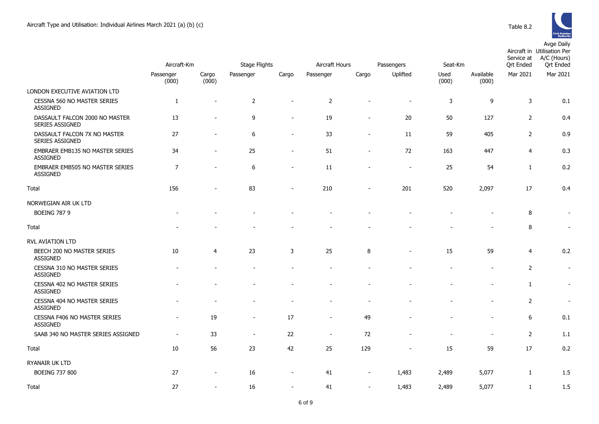|                                                    | Aircraft-Km        |                | <b>Stage Flights</b>     |                          | Aircraft Hours           |                          | Seat-Km<br>Passengers |               | Service at<br><b>Ort Ended</b> | Aircraft in Utilisation Per<br>A/C (Hours)<br><b>Ort Ended</b> |                          |
|----------------------------------------------------|--------------------|----------------|--------------------------|--------------------------|--------------------------|--------------------------|-----------------------|---------------|--------------------------------|----------------------------------------------------------------|--------------------------|
|                                                    | Passenger<br>(000) | Cargo<br>(000) | Passenger                | Cargo                    | Passenger                | Cargo                    | Uplifted              | Used<br>(000) | Available<br>(000)             | Mar 2021                                                       | Mar 2021                 |
| LONDON EXECUTIVE AVIATION LTD                      |                    |                |                          |                          |                          |                          |                       |               |                                |                                                                |                          |
| CESSNA 560 NO MASTER SERIES<br>ASSIGNED            | 1                  | $\overline{a}$ | $\overline{2}$           | $\overline{a}$           | 2                        |                          |                       | 3             | 9                              | 3                                                              | 0.1                      |
| DASSAULT FALCON 2000 NO MASTER<br>SERIES ASSIGNED  | 13                 |                | 9                        | $\overline{\phantom{a}}$ | 19                       | $\blacksquare$           | 20                    | 50            | 127                            | $\overline{2}$                                                 | 0.4                      |
| DASSAULT FALCON 7X NO MASTER<br>SERIES ASSIGNED    | 27                 | ÷,             | 6                        | $\blacksquare$           | 33                       | $\sim$                   | 11                    | 59            | 405                            | $\overline{2}$                                                 | 0.9                      |
| EMBRAER EMB135 NO MASTER SERIES<br><b>ASSIGNED</b> | 34                 | $\overline{a}$ | 25                       | $\overline{\phantom{a}}$ | 51                       | $\overline{\phantom{a}}$ | $72\,$                | 163           | 447                            | $\overline{4}$                                                 | 0.3                      |
| EMBRAER EMB505 NO MASTER SERIES<br><b>ASSIGNED</b> | 7                  | $\overline{a}$ | 6                        | $\overline{\phantom{a}}$ | 11                       | ÷                        | $\overline{a}$        | 25            | 54                             | $\mathbf{1}$                                                   | 0.2                      |
| Total                                              | 156                |                | 83                       | $\overline{a}$           | 210                      |                          | 201                   | 520           | 2,097                          | 17                                                             | 0.4                      |
| NORWEGIAN AIR UK LTD                               |                    |                |                          |                          |                          |                          |                       |               |                                |                                                                |                          |
| <b>BOEING 787 9</b>                                |                    |                |                          |                          |                          |                          |                       |               |                                | 8                                                              | $\sim$                   |
| Total                                              |                    |                |                          |                          |                          |                          |                       |               |                                | 8                                                              | $\overline{\phantom{a}}$ |
| RVL AVIATION LTD                                   |                    |                |                          |                          |                          |                          |                       |               |                                |                                                                |                          |
| BEECH 200 NO MASTER SERIES<br><b>ASSIGNED</b>      | 10                 | 4              | 23                       | 3                        | 25                       | 8                        |                       | 15            | 59                             | 4                                                              | 0.2                      |
| CESSNA 310 NO MASTER SERIES<br><b>ASSIGNED</b>     |                    |                |                          |                          |                          |                          |                       |               |                                | $\overline{2}$                                                 | $\sim$                   |
| CESSNA 402 NO MASTER SERIES<br>ASSIGNED            |                    |                |                          |                          |                          |                          |                       |               |                                | $\mathbf{1}$                                                   | $\sim$                   |
| CESSNA 404 NO MASTER SERIES<br>ASSIGNED            |                    |                |                          | ÷                        |                          |                          |                       |               |                                | $\overline{2}$                                                 | $\sim$                   |
| CESSNA F406 NO MASTER SERIES<br><b>ASSIGNED</b>    | $\overline{a}$     | 19             | $\overline{\phantom{a}}$ | 17                       | $\overline{a}$           | 49                       |                       |               |                                | 6                                                              | 0.1                      |
| SAAB 340 NO MASTER SERIES ASSIGNED                 | $\sim$             | 33             | $\overline{\phantom{a}}$ | 22                       | $\overline{\phantom{a}}$ | 72                       |                       |               |                                | $\overline{2}$                                                 | 1.1                      |
| Total                                              | 10                 | 56             | 23                       | 42                       | 25                       | 129                      |                       | 15            | 59                             | 17                                                             | 0.2                      |
| RYANAIR UK LTD                                     |                    |                |                          |                          |                          |                          |                       |               |                                |                                                                |                          |
| <b>BOEING 737 800</b>                              | 27                 | $\blacksquare$ | 16                       | $\overline{\phantom{a}}$ | 41                       | $\blacksquare$           | 1,483                 | 2,489         | 5,077                          | $\mathbf{1}$                                                   | 1.5                      |
| Total                                              | 27                 | $\sim$         | 16                       | $\sim$                   | 41                       | $\sim$                   | 1,483                 | 2,489         | 5,077                          | $\mathbf{1}$                                                   | 1.5                      |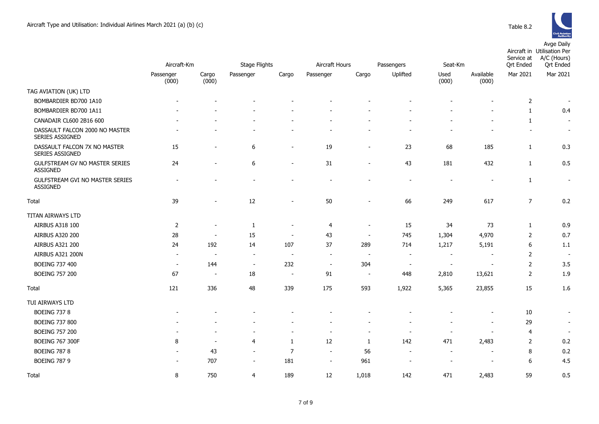

|                                                          | Aircraft-Km              |                          | <b>Stage Flights</b><br>Aircraft Hours |                          |                          |                          | Passengers               |                          | Seat-Km                  |                              | Aircraft in Utilisation Per<br>Service at<br>A/C (Hours)<br><b>Qrt Ended</b> |
|----------------------------------------------------------|--------------------------|--------------------------|----------------------------------------|--------------------------|--------------------------|--------------------------|--------------------------|--------------------------|--------------------------|------------------------------|------------------------------------------------------------------------------|
|                                                          | Passenger                | Cargo                    | Passenger                              | Cargo                    | Passenger                | Cargo                    | Uplifted                 | Used                     | Available                | <b>Qrt Ended</b><br>Mar 2021 | Mar 2021                                                                     |
|                                                          | (000)                    | (000)                    |                                        |                          |                          |                          |                          | (000)                    | (000)                    |                              |                                                                              |
| TAG AVIATION (UK) LTD                                    |                          |                          |                                        |                          |                          |                          |                          |                          |                          |                              |                                                                              |
| BOMBARDIER BD700 1A10                                    |                          |                          |                                        |                          |                          |                          |                          |                          |                          | $\overline{2}$               |                                                                              |
| BOMBARDIER BD700 1A11                                    |                          |                          |                                        |                          |                          |                          |                          |                          |                          | $\mathbf{1}$                 | 0.4                                                                          |
| CANADAIR CL600 2B16 600                                  |                          |                          |                                        |                          |                          |                          |                          |                          |                          | 1                            |                                                                              |
| DASSAULT FALCON 2000 NO MASTER<br><b>SERIES ASSIGNED</b> |                          |                          |                                        |                          |                          |                          |                          |                          |                          | $\overline{\phantom{a}}$     |                                                                              |
| DASSAULT FALCON 7X NO MASTER<br>SERIES ASSIGNED          | 15                       | $\overline{\phantom{a}}$ | 6                                      | $\blacksquare$           | 19                       | $\blacksquare$           | 23                       | 68                       | 185                      | $\mathbf{1}$                 | 0.3                                                                          |
| GULFSTREAM GV NO MASTER SERIES<br><b>ASSIGNED</b>        | 24                       | $\overline{\phantom{a}}$ | 6                                      | $\blacksquare$           | 31                       | $\overline{\phantom{a}}$ | 43                       | 181                      | 432                      | $\mathbf{1}$                 | 0.5                                                                          |
| GULFSTREAM GVI NO MASTER SERIES<br><b>ASSIGNED</b>       |                          |                          |                                        |                          |                          |                          | ÷                        | ÷,                       | $\sim$                   | $\mathbf{1}$                 | $\overline{\phantom{a}}$                                                     |
| Total                                                    | 39                       | $\overline{\phantom{a}}$ | 12                                     | $\sim$                   | 50                       | $\blacksquare$           | 66                       | 249                      | 617                      | $\overline{7}$               | 0.2                                                                          |
| TITAN AIRWAYS LTD                                        |                          |                          |                                        |                          |                          |                          |                          |                          |                          |                              |                                                                              |
| AIRBUS A318 100                                          | $\overline{2}$           |                          | 1                                      | $\overline{\phantom{a}}$ | 4                        | $\overline{\phantom{a}}$ | 15                       | 34                       | 73                       | 1                            | 0.9                                                                          |
| AIRBUS A320 200                                          | 28                       | $\overline{\phantom{a}}$ | 15                                     | $\overline{\phantom{a}}$ | 43                       | $\blacksquare$           | 745                      | 1,304                    | 4,970                    | $\overline{2}$               | 0.7                                                                          |
| AIRBUS A321 200                                          | 24                       | 192                      | 14                                     | 107                      | 37                       | 289                      | 714                      | 1,217                    | 5,191                    | 6                            | 1.1                                                                          |
| <b>AIRBUS A321 200N</b>                                  | $\overline{\phantom{a}}$ | $\overline{\phantom{a}}$ | $\overline{\phantom{a}}$               | $\overline{\phantom{a}}$ | $\overline{\phantom{a}}$ | $\blacksquare$           | $\overline{\phantom{a}}$ | $\overline{\phantom{a}}$ | $\overline{\phantom{a}}$ | $\overline{2}$               |                                                                              |
| BOEING 737 400                                           | $\overline{\phantom{a}}$ | 144                      | $\overline{a}$                         | 232                      | $\overline{\phantom{a}}$ | 304                      | $\overline{\phantom{a}}$ | $\sim$                   | $\sim$                   | $\overline{2}$               | 3.5                                                                          |
| <b>BOEING 757 200</b>                                    | 67                       | $\overline{\phantom{a}}$ | 18                                     | $\overline{\phantom{a}}$ | 91                       | $\overline{\phantom{a}}$ | 448                      | 2,810                    | 13,621                   | $\overline{2}$               | 1.9                                                                          |
| Total                                                    | 121                      | 336                      | 48                                     | 339                      | 175                      | 593                      | 1,922                    | 5,365                    | 23,855                   | 15                           | 1.6                                                                          |
| TUI AIRWAYS LTD                                          |                          |                          |                                        |                          |                          |                          |                          |                          |                          |                              |                                                                              |
| <b>BOEING 737 8</b>                                      |                          |                          |                                        |                          |                          |                          |                          |                          |                          | 10                           |                                                                              |
| <b>BOEING 737 800</b>                                    |                          |                          |                                        |                          |                          |                          |                          |                          |                          | 29                           | $\overline{\phantom{a}}$                                                     |
| <b>BOEING 757 200</b>                                    |                          | $\overline{\phantom{a}}$ | ÷,                                     | $\overline{a}$           | $\overline{a}$           | $\overline{\phantom{a}}$ | $\blacksquare$           | $\overline{a}$           | $\blacksquare$           | 4                            |                                                                              |
| <b>BOEING 767 300F</b>                                   | 8                        | $\overline{\phantom{a}}$ | 4                                      | 1                        | 12                       | 1                        | 142                      | 471                      | 2,483                    | $\overline{2}$               | 0.2                                                                          |
| <b>BOEING 787 8</b>                                      |                          | 43                       | $\blacksquare$                         | $\overline{7}$           | $\blacksquare$           | 56                       | $\overline{a}$           | $\overline{\phantom{a}}$ | $\overline{\phantom{a}}$ | 8                            | 0.2                                                                          |
| <b>BOEING 787 9</b>                                      |                          | 707                      | $\overline{\phantom{a}}$               | 181                      | $\blacksquare$           | 961                      |                          | $\blacksquare$           | $\overline{\phantom{a}}$ | 6                            | 4.5                                                                          |
| Total                                                    | 8                        | 750                      | $\overline{4}$                         | 189                      | 12                       | 1,018                    | 142                      | 471                      | 2,483                    | 59                           | 0.5                                                                          |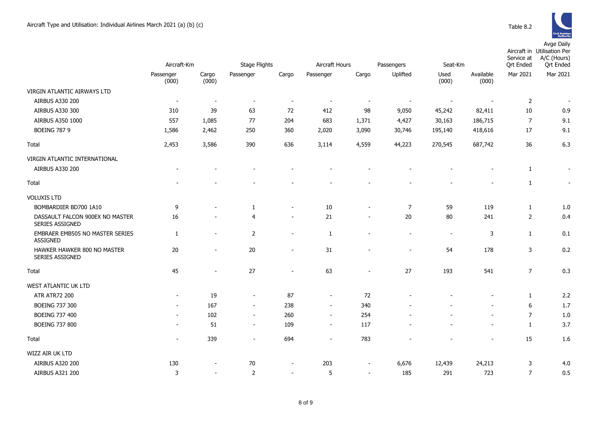|                                                    | Aircraft-Km              |                          | <b>Stage Flights</b><br>Aircraft Hours |                          |                          | Passengers<br>Seat-Km    |                          |                          | Service at<br><b>Ort Ended</b> | Aircraft in Utilisation Per<br>A/C (Hours)<br><b>Qrt Ended</b> |          |
|----------------------------------------------------|--------------------------|--------------------------|----------------------------------------|--------------------------|--------------------------|--------------------------|--------------------------|--------------------------|--------------------------------|----------------------------------------------------------------|----------|
|                                                    | Passenger<br>(000)       | Cargo<br>(000)           | Passenger                              | Cargo                    | Passenger                | Cargo                    | Uplifted                 | Used<br>(000)            | Available<br>(000)             | Mar 2021                                                       | Mar 2021 |
| VIRGIN ATLANTIC AIRWAYS LTD                        |                          |                          |                                        |                          |                          |                          |                          |                          |                                |                                                                |          |
| AIRBUS A330 200                                    | $\overline{\phantom{a}}$ | $\overline{\phantom{a}}$ | $\blacksquare$                         | $\overline{\phantom{a}}$ |                          | $\sim$                   |                          | $\sim$                   |                                | $\overline{2}$                                                 |          |
| AIRBUS A330 300                                    | 310                      | 39                       | 63                                     | 72                       | 412                      | 98                       | 9,050                    | 45,242                   | 82,411                         | 10                                                             | 0.9      |
| AIRBUS A350 1000                                   | 557                      | 1,085                    | 77                                     | 204                      | 683                      | 1,371                    | 4,427                    | 30,163                   | 186,715                        | $\overline{7}$                                                 | 9.1      |
| <b>BOEING 787 9</b>                                | 1,586                    | 2,462                    | 250                                    | 360                      | 2,020                    | 3,090                    | 30,746                   | 195,140                  | 418,616                        | 17                                                             | 9.1      |
| Total                                              | 2,453                    | 3,586                    | 390                                    | 636                      | 3,114                    | 4,559                    | 44,223                   | 270,545                  | 687,742                        | 36                                                             | 6.3      |
| VIRGIN ATLANTIC INTERNATIONAL                      |                          |                          |                                        |                          |                          |                          |                          |                          |                                |                                                                |          |
| AIRBUS A330 200                                    |                          |                          |                                        |                          |                          |                          |                          |                          |                                | 1                                                              | $\sim$   |
| <b>Total</b>                                       |                          |                          |                                        |                          |                          |                          |                          |                          |                                | $\mathbf{1}$                                                   | $\sim$   |
| <b>VOLUXIS LTD</b>                                 |                          |                          |                                        |                          |                          |                          |                          |                          |                                |                                                                |          |
| BOMBARDIER BD700 1A10                              | 9                        |                          | 1                                      | $\blacksquare$           | 10                       |                          | $\overline{7}$           | 59                       | 119                            | $\mathbf{1}$                                                   | 1.0      |
| DASSAULT FALCON 900EX NO MASTER<br>SERIES ASSIGNED | 16                       |                          | $\overline{4}$                         | $\blacksquare$           | 21                       | $\overline{\phantom{a}}$ | 20                       | 80                       | 241                            | 2                                                              | 0.4      |
| EMBRAER EMB505 NO MASTER SERIES<br><b>ASSIGNED</b> | $\mathbf{1}$             | $\overline{\phantom{a}}$ | $\overline{2}$                         | $\overline{a}$           | $\mathbf{1}$             |                          | $\overline{\phantom{a}}$ | $\overline{\phantom{a}}$ | 3                              | $\mathbf{1}$                                                   | 0.1      |
| HAWKER HAWKER 800 NO MASTER<br>SERIES ASSIGNED     | 20                       | $\overline{\phantom{a}}$ | 20                                     | $\sim$                   | 31                       |                          | $\overline{\phantom{a}}$ | 54                       | 178                            | 3                                                              | 0.2      |
| Total                                              | 45                       | $\overline{\phantom{0}}$ | 27                                     | $\blacksquare$           | 63                       | $\blacksquare$           | 27                       | 193                      | 541                            | $\overline{7}$                                                 | 0.3      |
| <b>WEST ATLANTIC UK LTD</b>                        |                          |                          |                                        |                          |                          |                          |                          |                          |                                |                                                                |          |
| <b>ATR ATR72 200</b>                               | $\sim$                   | 19                       | $\overline{\phantom{a}}$               | 87                       | $\overline{\phantom{a}}$ | 72                       |                          |                          |                                | $\mathbf{1}$                                                   | 2.2      |
| <b>BOEING 737 300</b>                              | $\overline{\phantom{a}}$ | 167                      | $\sim$                                 | 238                      | $\sim$                   | 340                      |                          |                          |                                | 6                                                              | 1.7      |
| BOEING 737 400                                     | $\overline{\phantom{a}}$ | 102                      | $\sim$                                 | 260                      | $\sim$                   | 254                      |                          |                          |                                | $\overline{7}$                                                 | 1.0      |
| <b>BOEING 737 800</b>                              | $\blacksquare$           | 51                       | $\sim$                                 | 109                      | $\blacksquare$           | 117                      |                          |                          |                                | $\mathbf{1}$                                                   | 3.7      |
| <b>Total</b>                                       | $\overline{a}$           | 339                      | $\blacksquare$                         | 694                      | $\blacksquare$           | 783                      |                          |                          |                                | 15                                                             | 1.6      |
| WIZZ AIR UK LTD                                    |                          |                          |                                        |                          |                          |                          |                          |                          |                                |                                                                |          |
| <b>AIRBUS A320 200</b>                             | 130                      |                          | 70                                     | $\sim$                   | 203                      | $\overline{\phantom{a}}$ | 6,676                    | 12,439                   | 24,213                         | 3                                                              | 4.0      |
| AIRBUS A321 200                                    | 3                        | $\blacksquare$           | 2                                      | $\blacksquare$           | 5                        | $\blacksquare$           | 185                      | 291                      | 723                            | $\overline{7}$                                                 | 0.5      |